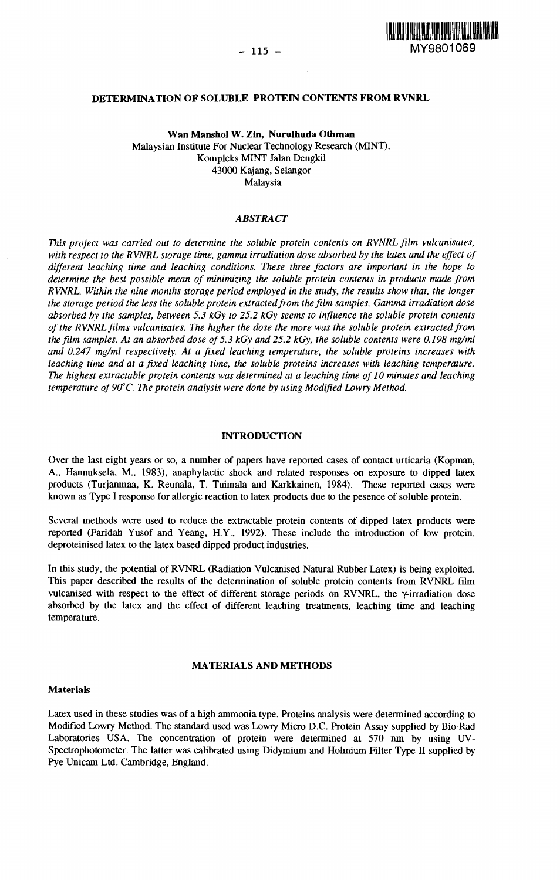

### **DETERMINATION OF SOLUBLE PROTEIN CONTENTS FROM RVNRL**

Wan Manshol W. Zin, Nurulhuda Othman Malaysian Institute For Nuclear Technology Research (MINT), Kompleks MINT Jalan Dengkil 43000 Kajang, Selangor Malaysia

# *ABSTRACT*

*This project was carried out to determine the soluble protein contents on RVNRL film vulcanisates, with respect to the RVNRL storage time, gamma irradiation dose absorbed by the latex and the effect of different leaching time and leaching conditions. These three factors are important in the hope to determine the best possible mean of minimizing the soluble protein contents in products made from RVNRL. Within the nine months storage period employed in the study, the results show that, the longer the storage period the less the soluble protein extracted from the film samples. Gamma irradiation dose absorbed by the samples, between 5.3 kGy to 25.2 kGy seems to influence the soluble protein contents of the RVNRL films vulcanisates. The higher the dose the more was the soluble protein extracted from the film samples. At an absorbed dose of 5.3 kGy and 25.2 kGy, the soluble contents were 0.198 mg/ml and 0.247 mg/ml respectively. At a fixed leaching temperature, the soluble proteins increases with leaching time and at a fixed leaching time, the soluble proteins increases with leaching temperature. The highest extractable protein contents was determined at a leaching time of 10 minutes and leaching temperature of90°C. The protein analysis were done by using Modified Lowry Method.*

### **INTRODUCTION**

Over the last eight years or so, a number of papers have reported cases of contact urticaria (Kopman, A., Hannuksela, M., 1983), anaphylactic shock and related responses on exposure to dipped latex products (Turjanmaa, K. Reunala, T. Tuimala and Karkkainen, 1984). These reported cases were known as Type I response for allergic reaction to latex products due to the pesence of soluble protein.

Several methods were used to reduce the extractable protein contents of dipped latex products were reported (Faridah Yusof and Yeang, H.Y., 1992). These include the introduction of low protein, deproteinised latex to the latex based dipped product industries.

In this study, the potential of RVNRL (Radiation Vulcanised Natural Rubber Latex) is being exploited. This paper described the results of the determination of soluble protein contents from RVNRL film vulcanised with respect to the effect of different storage periods on RVNRL, the y-irradiation dose absorbed by the latex and the effect of different leaching treatments, leaching time and leaching temperature.

#### **MATERIALS AND METHODS**

#### **Materials**

Latex used in these studies was of a high ammonia type. Proteins analysis were determined according to Modified Lowry Method. The standard used was Lowry Micro D.C. Protein Assay supplied by Bio-Rad Laboratories USA. The concentration of protein were determined at 570 nm by using UV-Spectrophotometer. The latter was calibrated using Didymium and Holmium Filter Type II supplied by Pye Unicam Ltd. Cambridge, England.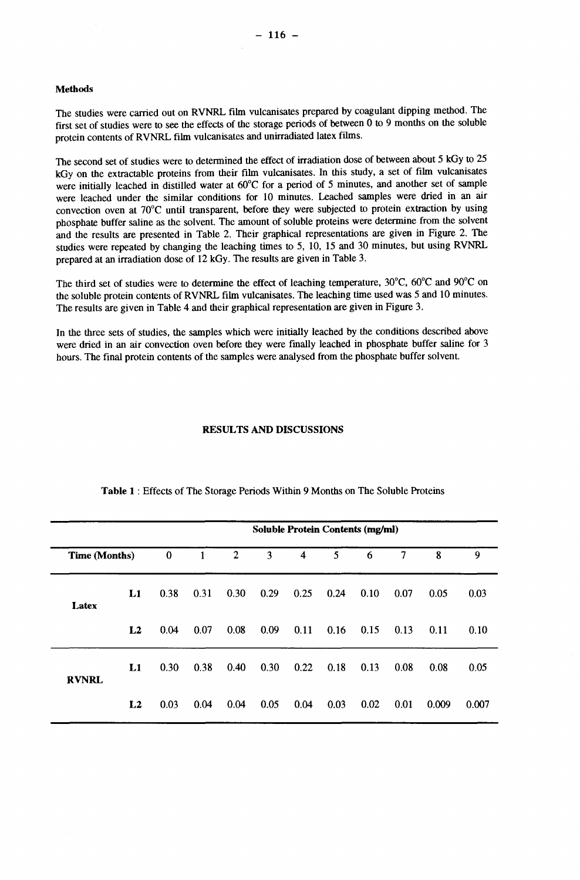### **Methods**

The studies were carried out on RVNRL film vulcanisates prepared by coagulant dipping method. The first set of studies were to see the effects of the storage periods of between 0 to 9 months on the soluble protein contents of RVNRL film vulcanisates and unirradiated latex films.

The second set of studies were to determined the effect of irradiation dose of between about 5 kGy to 25 kGy on the extractable proteins from their film vulcanisates. In this study, a set of film vulcanisates were initially leached in distilled water at 60°C for a period of 5 minutes, and another set of sample were leached under the similar conditions for 10 minutes. Leached samples were dried in an air convection oven at 70°C until transparent, before they were subjected to protein extraction by using phosphate buffer saline as the solvent. The amount of soluble proteins were determine from the solvent and the results are presented in Table 2. Their graphical representations are given in Figure 2. The studies were repeated by changing the leaching times to 5, 10, 15 and 30 minutes, but using RVNRL prepared at an irradiation dose of 12 kGy. The results are given in Table 3.

The third set of studies were to determine the effect of leaching temperature,  $30^{\circ}$ C,  $60^{\circ}$ C and  $90^{\circ}$ C on the soluble protein contents of RVNRL film vulcanisates. The leaching time used was 5 and 10 minutes. The results are given in Table 4 and their graphical representation are given in Figure 3.

In the three sets of studies, the samples which were initially leached by the conditions described above were dried in an air convection oven before they were finally leached in phosphate buffer saline for 3 hours. The final protein contents of the samples were analysed from the phosphate buffer solvent.

# **RESULTS AND DISCUSSIONS**

|                      |              |          |      |              | <b>Soluble Protein Contents (mg/ml)</b> |                         |      |      |                          |       |       |
|----------------------|--------------|----------|------|--------------|-----------------------------------------|-------------------------|------|------|--------------------------|-------|-------|
| <b>Time (Months)</b> |              | $\bf{0}$ | 1    | $\mathbf{2}$ | 3                                       | $\overline{\mathbf{4}}$ | 5    | 6    | $\overline{\phantom{a}}$ | 8     | 9     |
| Latex                | L1           | 0.38     | 0.31 | 0.30         | 0.29                                    | 0.25                    | 0.24 | 0.10 | 0.07                     | 0.05  | 0.03  |
|                      | L2           | 0.04     | 0.07 | 0.08         | 0.09                                    | 0.11                    | 0.16 | 0.15 | 0.13                     | 0.11  | 0.10  |
| <b>RVNRL</b>         | $\mathbf{L}$ | 0.30     | 0.38 | 0.40         | 0.30                                    | 0.22                    | 0.18 | 0.13 | 0.08                     | 0.08  | 0.05  |
|                      | L2           | 0.03     | 0.04 | 0.04         | 0.05                                    | 0.04                    | 0.03 | 0.02 | 0.01                     | 0.009 | 0.007 |

### **Table 1** : Effects of The Storage Periods Within 9 Months on The Soluble Proteins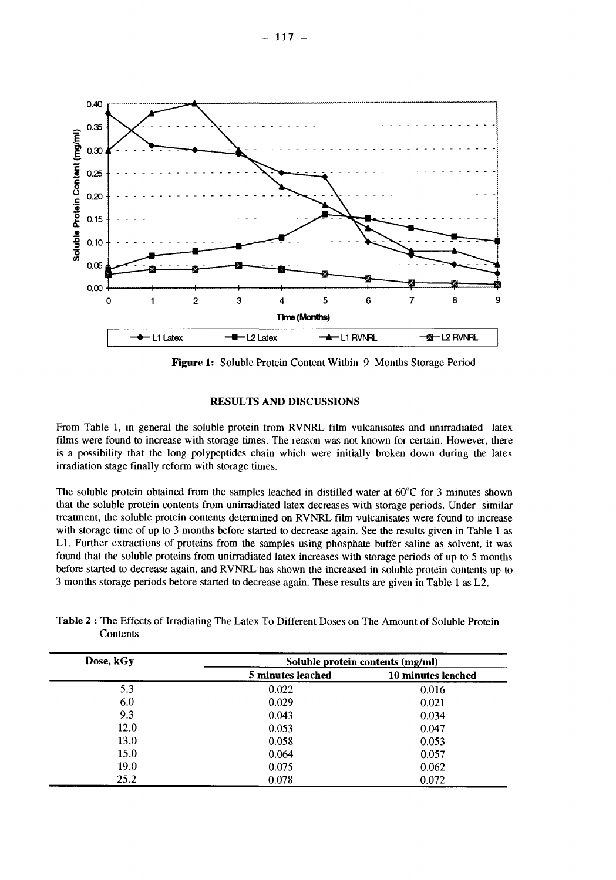

**Figure 1:** Soluble Protein Content Within 9 Months Storage Period

# **RESULTS AND DISCUSSIONS**

From Table 1, in general the soluble protein from RVNRL film vulcanisates and unirradiated latex films were found to increase with storage times. The reason was not known for certain. However, there is a possibility that the long polypeptides chain which were initially broken down during the latex irradiation stage finally reform with storage times.

The soluble protein obtained from the samples leached in distilled water at  $60^{\circ}$ C for 3 minutes shown that the soluble protein contents from unirradiated latex decreases with storage periods. Under similar treatment, the soluble protein contents determined on RVNRL film vulcanisates were found to increase with storage time of up to 3 months before started to decrease again. See the results given in Table 1 as LI. Further extractions of proteins from the samples using phosphate buffer saline as solvent, it was found that the soluble proteins from unirradiated latex increases with storage periods of up to 5 months before started to decrease again, and RVNRL has shown the increased in soluble protein contents up to 3 months storage periods before started to decrease again. These results are given in Table 1 as L2.

| Dose, kGy | Soluble protein contents (mg/ml) |                    |  |  |  |
|-----------|----------------------------------|--------------------|--|--|--|
|           | 5 minutes leached                | 10 minutes leached |  |  |  |
| 5.3       | 0.022                            | 0.016              |  |  |  |
| 6.0       | 0.029                            | 0.021              |  |  |  |
| 9.3       | 0.043                            | 0.034              |  |  |  |
| 12.0      | 0.053                            | 0.047              |  |  |  |
| 13.0      | 0.058                            | 0.053              |  |  |  |
| 15.0      | 0.064                            | 0.057              |  |  |  |
| 19.0      | 0.075                            | 0.062              |  |  |  |
| 25.2      | 0.078                            | 0.072              |  |  |  |

**Table 2** : The Effects of Irradiating The Latex To Different Doses on The Amount of Soluble Protein **Contents**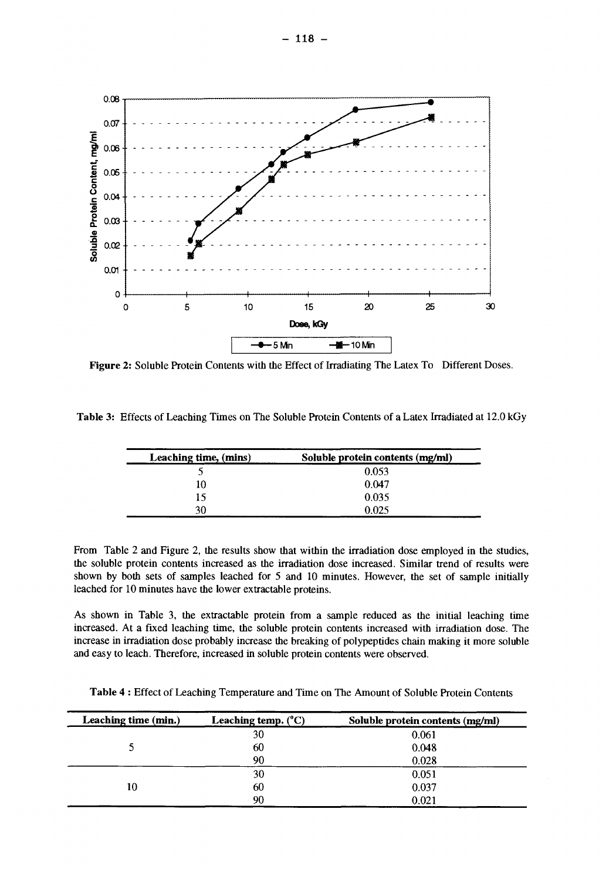

Figure 2: Soluble Protein Contents with the Effect of Irradiating The Latex To Different Doses.

**Table** 3: Effects of Leaching Times on The Soluble Protein Contents of a Latex Irradiated at 12.0 kGy

| Leaching time, (mins) | Soluble protein contents (mg/ml) |  |  |
|-----------------------|----------------------------------|--|--|
|                       | 0.053                            |  |  |
| 10                    | 0.047                            |  |  |
| 15                    | 0.035                            |  |  |
| 30                    | 0.025                            |  |  |

From Table 2 and Figure 2, the results show that within the irradiation dose employed in the studies, the soluble protein contents increased as the irradiation dose increased. Similar trend of results were shown by both sets of samples leached for 5 and 10 minutes. However, the set of sample initially leached for 10 minutes have the lower extractable proteins.

As shown in Table 3, the extractable protein from a sample reduced as the initial leaching time increased. At a fixed leaching time, the soluble protein contents increased with irradiation dose. The increase in irradiation dose probably increase the breaking of polypeptides chain making it more soluble and easy to leach. Therefore, increased in soluble protein contents were observed.

**Table 4** : Effect of Leaching Temperature and Time on The Amount of Soluble Protein Contents

| Leaching time (min.) | Leaching temp. $(^{\circ}C)$ | Soluble protein contents (mg/ml) |  |  |
|----------------------|------------------------------|----------------------------------|--|--|
|                      | 30                           | 0.061                            |  |  |
|                      | 60                           | 0.048                            |  |  |
|                      | 90                           | 0.028                            |  |  |
|                      | 30                           | 0.051                            |  |  |
| 10                   | 60                           | 0.037                            |  |  |
|                      | 90                           | 0.021                            |  |  |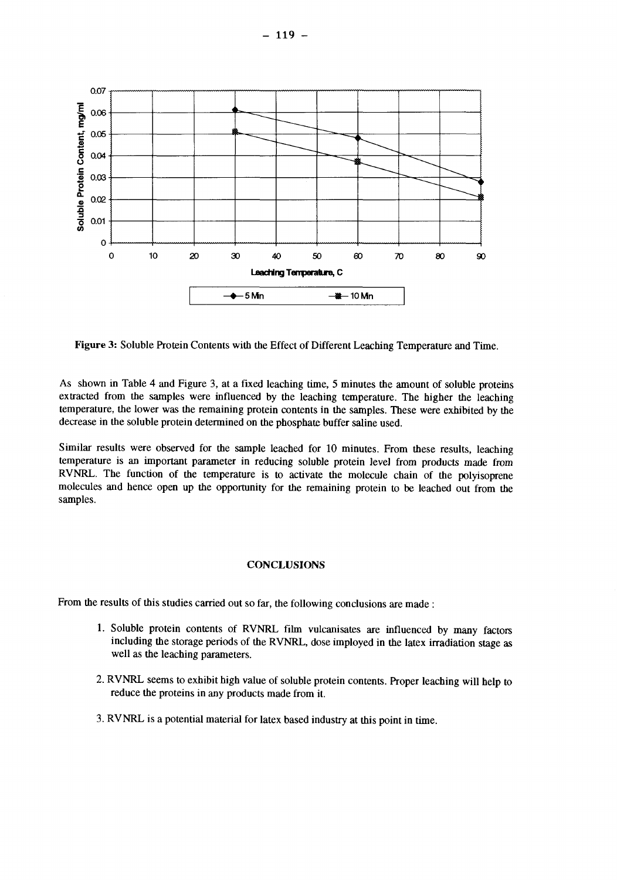

**Figure** 3: Soluble Protein Contents with the Effect of Different Leaching Temperature and Time.

As shown in Table 4 and Figure 3, at a fixed leaching time, 5 minutes the amount of soluble proteins extracted from the samples were influenced by the leaching temperature. The higher the leaching temperature, the lower was the remaining protein contents in the samples. These were exhibited by the decrease in the soluble protein determined on the phosphate buffer saline used.

Similar results were observed for the sample leached for 10 minutes. From these results, leaching temperature is an important parameter in reducing soluble protein level from products made from RVNRL. The function of the temperature is to activate the molecule chain of the polyisoprene molecules and hence open up the opportunity for the remaining protein to be leached out from the samples.

### **CONCLUSIONS**

From the results of this studies carried out so far, the following conclusions are made :

- 1. Soluble protein contents of RVNRL film vulcanisates are influenced by many factors including the storage periods of the RVNRL, dose imployed in the latex irradiation stage as well as the leaching parameters.
- 2. RVNRL seems to exhibit high value of soluble protein contents. Proper leaching will help to reduce the proteins in any products made from it.
- 3. RVNRL is a potential material for latex based industry at this point in time.